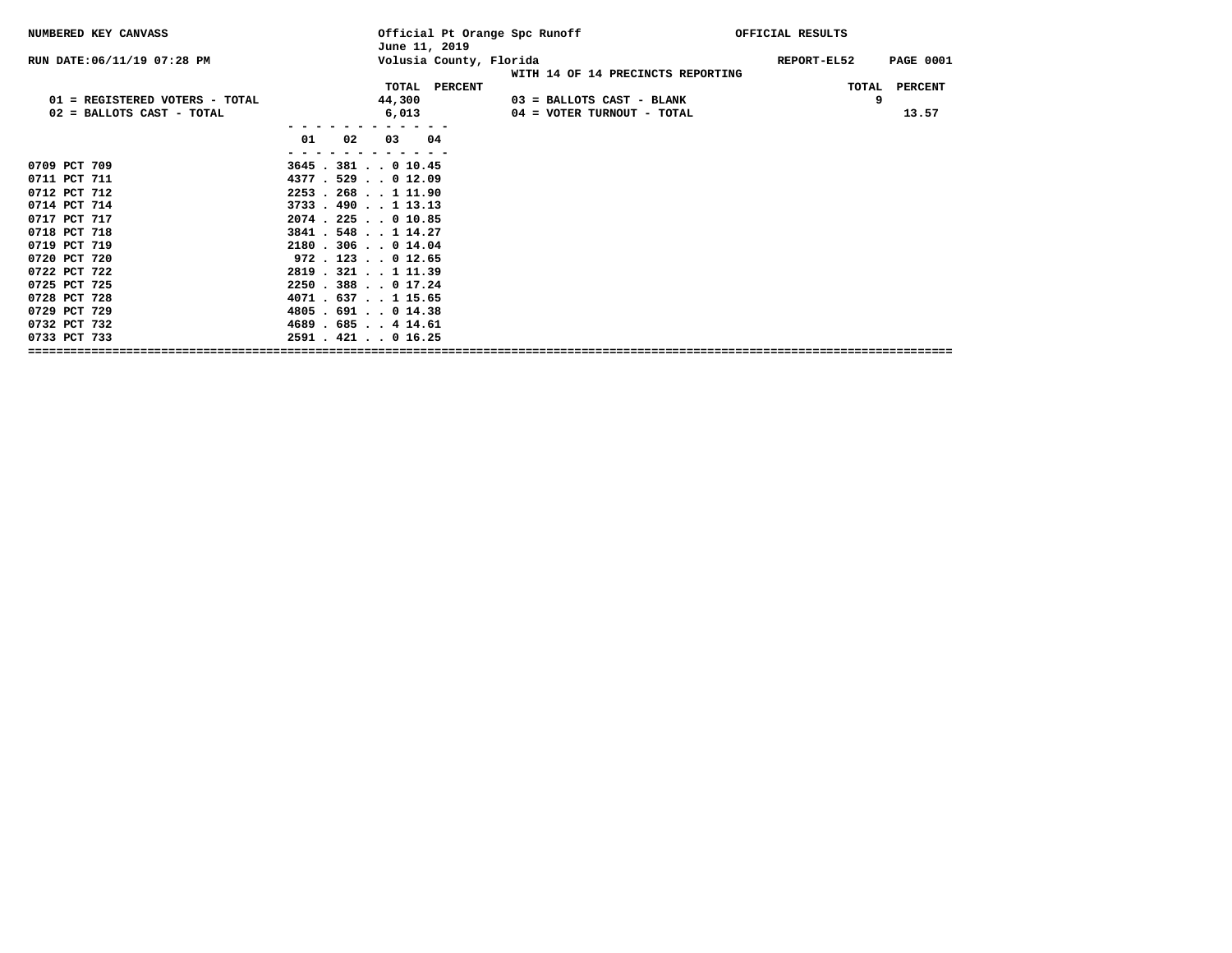| NUMBERED KEY CANVASS           |                         | Official Pt Orange Spc Runoff<br>June 11, 2019 |                                   | OFFICIAL RESULTS |                         |
|--------------------------------|-------------------------|------------------------------------------------|-----------------------------------|------------------|-------------------------|
| RUN DATE: 06/11/19 07:28 PM    |                         | Volusia County, Florida                        | WITH 14 OF 14 PRECINCTS REPORTING | REPORT-EL52      | <b>PAGE 0001</b>        |
|                                |                         | TOTAL PERCENT                                  |                                   |                  | TOTAL<br><b>PERCENT</b> |
| 01 = REGISTERED VOTERS - TOTAL |                         | 44,300                                         | 03 = BALLOTS CAST - BLANK         |                  | 9                       |
| 02 = BALLOTS CAST - TOTAL      |                         | 6,013                                          | 04 = VOTER TURNOUT - TOTAL        |                  | 13.57                   |
|                                |                         |                                                |                                   |                  |                         |
|                                | 01<br>02                | 03 04                                          |                                   |                  |                         |
|                                |                         |                                                |                                   |                  |                         |
| 0709 PCT 709                   | 3645.381010.45          |                                                |                                   |                  |                         |
| 0711 PCT 711                   | $4377$ $.529$ $.012.09$ |                                                |                                   |                  |                         |
| 0712 PCT 712                   | 2253.268111.90          |                                                |                                   |                  |                         |
| 0714 PCT 714                   | $3733$ . 490 1 13.13    |                                                |                                   |                  |                         |
| 0717 PCT 717                   | $2074$ $.225$ $.010.85$ |                                                |                                   |                  |                         |
| 0718 PCT 718                   | 3841.548114.27          |                                                |                                   |                  |                         |
| 0719 PCT 719                   | 2180.306014.04          |                                                |                                   |                  |                         |
| 0720 PCT 720                   | $972$ $.123$ $.012.65$  |                                                |                                   |                  |                         |
| 0722 PCT 722                   | 2819 . 321 1 11.39      |                                                |                                   |                  |                         |
| 0725 PCT 725                   | 2250.388017.24          |                                                |                                   |                  |                         |
| 0728 PCT 728                   | 4071 . 637 1 15.65      |                                                |                                   |                  |                         |
| 0729 PCT 729                   | $4805$ . 691 0 14.38    |                                                |                                   |                  |                         |
| 0732 PCT 732                   | 4689 . 685 4 14.61      |                                                |                                   |                  |                         |
| 0733 PCT 733                   | $2591$ $.421$ $.016.25$ |                                                |                                   |                  |                         |
|                                |                         |                                                |                                   |                  |                         |